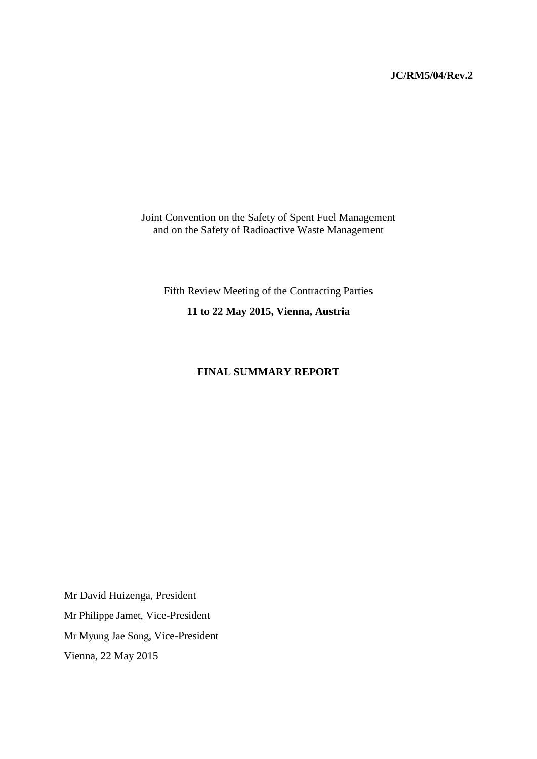# **JC/RM5/04/Rev.2**

Joint Convention on the Safety of Spent Fuel Management and on the Safety of Radioactive Waste Management

Fifth Review Meeting of the Contracting Parties

**11 to 22 May 2015, Vienna, Austria**

# **FINAL SUMMARY REPORT**

Mr David Huizenga, President Mr Philippe Jamet, Vice-President Mr Myung Jae Song, Vice-President Vienna, 22 May 2015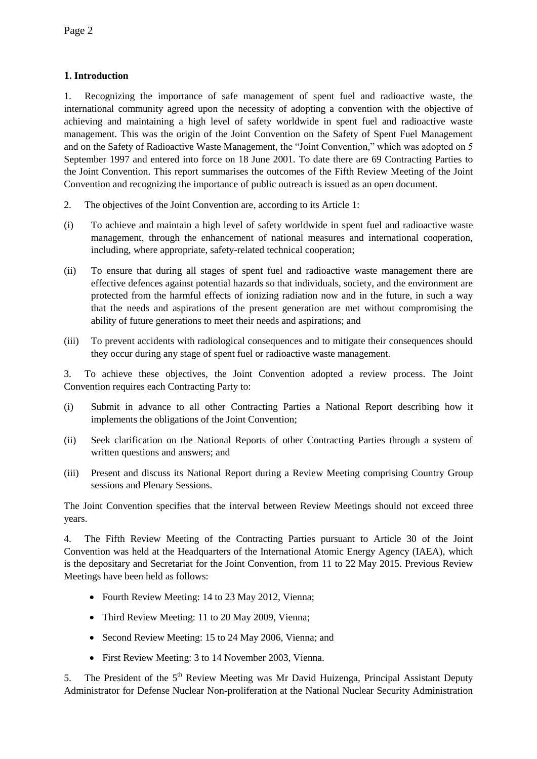# **1. Introduction**

1. Recognizing the importance of safe management of spent fuel and radioactive waste, the international community agreed upon the necessity of adopting a convention with the objective of achieving and maintaining a high level of safety worldwide in spent fuel and radioactive waste management. This was the origin of the Joint Convention on the Safety of Spent Fuel Management and on the Safety of Radioactive Waste Management, the "Joint Convention," which was adopted on 5 September 1997 and entered into force on 18 June 2001. To date there are 69 Contracting Parties to the Joint Convention. This report summarises the outcomes of the Fifth Review Meeting of the Joint Convention and recognizing the importance of public outreach is issued as an open document.

- 2. The objectives of the Joint Convention are, according to its Article 1:
- (i) To achieve and maintain a high level of safety worldwide in spent fuel and radioactive waste management, through the enhancement of national measures and international cooperation, including, where appropriate, safety-related technical cooperation;
- (ii) To ensure that during all stages of spent fuel and radioactive waste management there are effective defences against potential hazards so that individuals, society, and the environment are protected from the harmful effects of ionizing radiation now and in the future, in such a way that the needs and aspirations of the present generation are met without compromising the ability of future generations to meet their needs and aspirations; and
- (iii) To prevent accidents with radiological consequences and to mitigate their consequences should they occur during any stage of spent fuel or radioactive waste management.

3. To achieve these objectives, the Joint Convention adopted a review process. The Joint Convention requires each Contracting Party to:

- (i) Submit in advance to all other Contracting Parties a National Report describing how it implements the obligations of the Joint Convention;
- (ii) Seek clarification on the National Reports of other Contracting Parties through a system of written questions and answers; and
- (iii) Present and discuss its National Report during a Review Meeting comprising Country Group sessions and Plenary Sessions.

The Joint Convention specifies that the interval between Review Meetings should not exceed three years.

4. The Fifth Review Meeting of the Contracting Parties pursuant to Article 30 of the Joint Convention was held at the Headquarters of the International Atomic Energy Agency (IAEA), which is the depositary and Secretariat for the Joint Convention, from 11 to 22 May 2015. Previous Review Meetings have been held as follows:

- Fourth Review Meeting: 14 to 23 May 2012, Vienna;
- Third Review Meeting: 11 to 20 May 2009, Vienna;
- Second Review Meeting: 15 to 24 May 2006, Vienna; and
- First Review Meeting: 3 to 14 November 2003, Vienna.

5. The President of the 5<sup>th</sup> Review Meeting was Mr David Huizenga, Principal Assistant Deputy Administrator for Defense Nuclear Non-proliferation at the National Nuclear Security Administration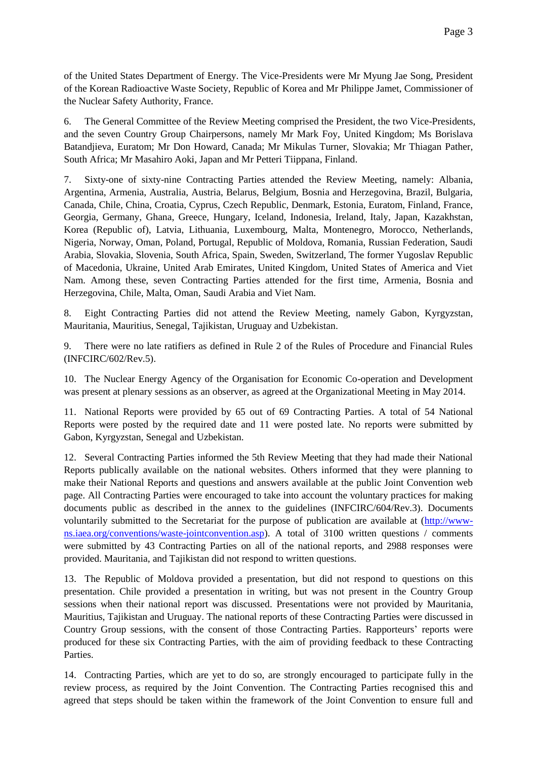of the United States Department of Energy. The Vice-Presidents were Mr Myung Jae Song, President of the Korean Radioactive Waste Society, Republic of Korea and Mr Philippe Jamet, Commissioner of the Nuclear Safety Authority, France.

6. The General Committee of the Review Meeting comprised the President, the two Vice-Presidents, and the seven Country Group Chairpersons, namely Mr Mark Foy, United Kingdom; Ms Borislava Batandjieva, Euratom; Mr Don Howard, Canada; Mr Mikulas Turner, Slovakia; Mr Thiagan Pather, South Africa; Mr Masahiro Aoki, Japan and Mr Petteri Tiippana, Finland.

7. Sixty-one of sixty-nine Contracting Parties attended the Review Meeting, namely: Albania, Argentina, Armenia, Australia, Austria, Belarus, Belgium, Bosnia and Herzegovina, Brazil, Bulgaria, Canada, Chile, China, Croatia, Cyprus, Czech Republic, Denmark, Estonia, Euratom, Finland, France, Georgia, Germany, Ghana, Greece, Hungary, Iceland, Indonesia, Ireland, Italy, Japan, Kazakhstan, Korea (Republic of), Latvia, Lithuania, Luxembourg, Malta, Montenegro, Morocco, Netherlands, Nigeria, Norway, Oman, Poland, Portugal, Republic of Moldova, Romania, Russian Federation, Saudi Arabia, Slovakia, Slovenia, South Africa, Spain, Sweden, Switzerland, The former Yugoslav Republic of Macedonia, Ukraine, United Arab Emirates, United Kingdom, United States of America and Viet Nam. Among these, seven Contracting Parties attended for the first time, Armenia, Bosnia and Herzegovina, Chile, Malta, Oman, Saudi Arabia and Viet Nam.

8. Eight Contracting Parties did not attend the Review Meeting, namely Gabon, Kyrgyzstan, Mauritania, Mauritius, Senegal, Tajikistan, Uruguay and Uzbekistan.

9. There were no late ratifiers as defined in Rule 2 of the Rules of Procedure and Financial Rules (INFCIRC/602/Rev.5).

10. The Nuclear Energy Agency of the Organisation for Economic Co-operation and Development was present at plenary sessions as an observer, as agreed at the Organizational Meeting in May 2014.

11. National Reports were provided by 65 out of 69 Contracting Parties. A total of 54 National Reports were posted by the required date and 11 were posted late. No reports were submitted by Gabon, Kyrgyzstan, Senegal and Uzbekistan.

12. Several Contracting Parties informed the 5th Review Meeting that they had made their National Reports publically available on the national websites. Others informed that they were planning to make their National Reports and questions and answers available at the public Joint Convention web page. All Contracting Parties were encouraged to take into account the voluntary practices for making documents public as described in the annex to the guidelines (INFCIRC/604/Rev.3). Documents voluntarily submitted to the Secretariat for the purpose of publication are available at [\(http://www](http://www-ns.iaea.org/conventions/waste-jointconvention.asp)[ns.iaea.org/conventions/waste-jointconvention.asp\)](http://www-ns.iaea.org/conventions/waste-jointconvention.asp). A total of 3100 written questions / comments were submitted by 43 Contracting Parties on all of the national reports, and 2988 responses were provided. Mauritania, and Tajikistan did not respond to written questions.

13. The Republic of Moldova provided a presentation, but did not respond to questions on this presentation. Chile provided a presentation in writing, but was not present in the Country Group sessions when their national report was discussed. Presentations were not provided by Mauritania, Mauritius, Tajikistan and Uruguay. The national reports of these Contracting Parties were discussed in Country Group sessions, with the consent of those Contracting Parties. Rapporteurs' reports were produced for these six Contracting Parties, with the aim of providing feedback to these Contracting Parties.

14. Contracting Parties, which are yet to do so, are strongly encouraged to participate fully in the review process, as required by the Joint Convention. The Contracting Parties recognised this and agreed that steps should be taken within the framework of the Joint Convention to ensure full and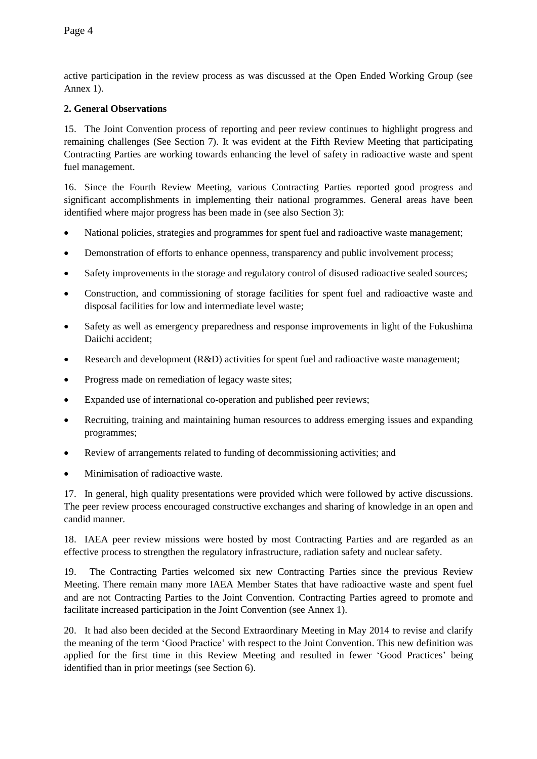active participation in the review process as was discussed at the Open Ended Working Group (see Annex 1).

## **2. General Observations**

15. The Joint Convention process of reporting and peer review continues to highlight progress and remaining challenges (See Section 7). It was evident at the Fifth Review Meeting that participating Contracting Parties are working towards enhancing the level of safety in radioactive waste and spent fuel management.

16. Since the Fourth Review Meeting, various Contracting Parties reported good progress and significant accomplishments in implementing their national programmes. General areas have been identified where major progress has been made in (see also Section 3):

- National policies, strategies and programmes for spent fuel and radioactive waste management;
- Demonstration of efforts to enhance openness, transparency and public involvement process;
- Safety improvements in the storage and regulatory control of disused radioactive sealed sources;
- Construction, and commissioning of storage facilities for spent fuel and radioactive waste and disposal facilities for low and intermediate level waste;
- Safety as well as emergency preparedness and response improvements in light of the Fukushima Daiichi accident;
- Research and development (R&D) activities for spent fuel and radioactive waste management;
- Progress made on remediation of legacy waste sites;
- Expanded use of international co-operation and published peer reviews;
- Recruiting, training and maintaining human resources to address emerging issues and expanding programmes;
- Review of arrangements related to funding of decommissioning activities; and
- Minimisation of radioactive waste.

17. In general, high quality presentations were provided which were followed by active discussions. The peer review process encouraged constructive exchanges and sharing of knowledge in an open and candid manner.

18. IAEA peer review missions were hosted by most Contracting Parties and are regarded as an effective process to strengthen the regulatory infrastructure, radiation safety and nuclear safety.

19. The Contracting Parties welcomed six new Contracting Parties since the previous Review Meeting. There remain many more IAEA Member States that have radioactive waste and spent fuel and are not Contracting Parties to the Joint Convention. Contracting Parties agreed to promote and facilitate increased participation in the Joint Convention (see Annex 1).

20. It had also been decided at the Second Extraordinary Meeting in May 2014 to revise and clarify the meaning of the term 'Good Practice' with respect to the Joint Convention. This new definition was applied for the first time in this Review Meeting and resulted in fewer 'Good Practices' being identified than in prior meetings (see Section 6).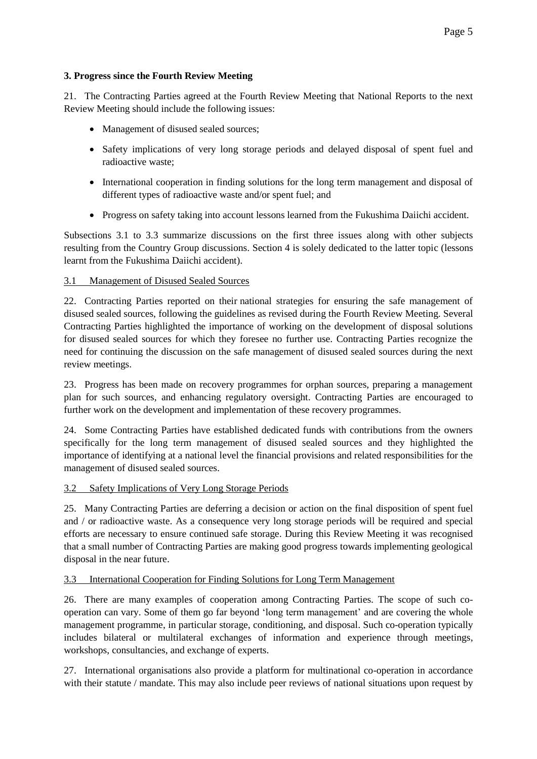# **3. Progress since the Fourth Review Meeting**

21. The Contracting Parties agreed at the Fourth Review Meeting that National Reports to the next Review Meeting should include the following issues:

- Management of disused sealed sources;
- Safety implications of very long storage periods and delayed disposal of spent fuel and radioactive waste;
- International cooperation in finding solutions for the long term management and disposal of different types of radioactive waste and/or spent fuel; and
- Progress on safety taking into account lessons learned from the Fukushima Daiichi accident.

Subsections 3.1 to 3.3 summarize discussions on the first three issues along with other subjects resulting from the Country Group discussions. Section 4 is solely dedicated to the latter topic (lessons learnt from the Fukushima Daiichi accident).

# 3.1 Management of Disused Sealed Sources

22. Contracting Parties reported on their national strategies for ensuring the safe management of disused sealed sources, following the guidelines as revised during the Fourth Review Meeting. Several Contracting Parties highlighted the importance of working on the development of disposal solutions for disused sealed sources for which they foresee no further use. Contracting Parties recognize the need for continuing the discussion on the safe management of disused sealed sources during the next review meetings.

23. Progress has been made on recovery programmes for orphan sources, preparing a management plan for such sources, and enhancing regulatory oversight. Contracting Parties are encouraged to further work on the development and implementation of these recovery programmes.

24. Some Contracting Parties have established dedicated funds with contributions from the owners specifically for the long term management of disused sealed sources and they highlighted the importance of identifying at a national level the financial provisions and related responsibilities for the management of disused sealed sources.

# 3.2 Safety Implications of Very Long Storage Periods

25. Many Contracting Parties are deferring a decision or action on the final disposition of spent fuel and / or radioactive waste. As a consequence very long storage periods will be required and special efforts are necessary to ensure continued safe storage. During this Review Meeting it was recognised that a small number of Contracting Parties are making good progress towards implementing geological disposal in the near future.

## 3.3 International Cooperation for Finding Solutions for Long Term Management

26. There are many examples of cooperation among Contracting Parties. The scope of such cooperation can vary. Some of them go far beyond 'long term management' and are covering the whole management programme, in particular storage, conditioning, and disposal. Such co-operation typically includes bilateral or multilateral exchanges of information and experience through meetings, workshops, consultancies, and exchange of experts.

27. International organisations also provide a platform for multinational co-operation in accordance with their statute / mandate. This may also include peer reviews of national situations upon request by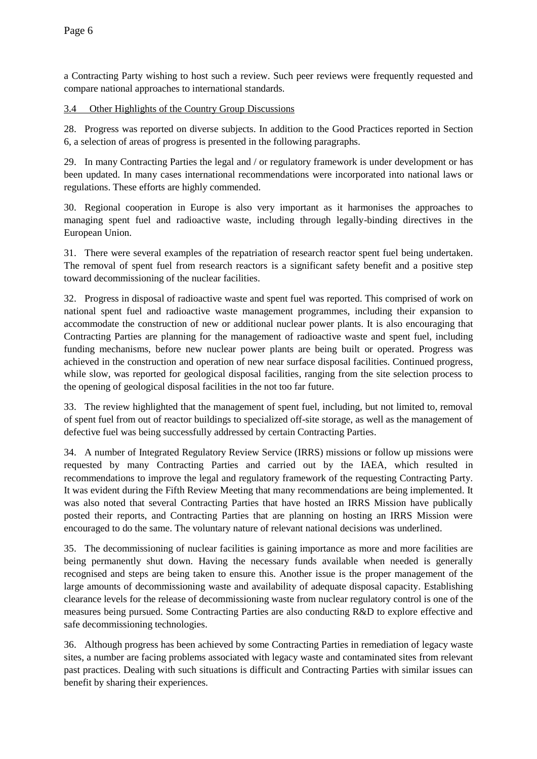a Contracting Party wishing to host such a review. Such peer reviews were frequently requested and compare national approaches to international standards.

## 3.4 Other Highlights of the Country Group Discussions

28. Progress was reported on diverse subjects. In addition to the Good Practices reported in Section 6, a selection of areas of progress is presented in the following paragraphs.

29. In many Contracting Parties the legal and / or regulatory framework is under development or has been updated. In many cases international recommendations were incorporated into national laws or regulations. These efforts are highly commended.

30. Regional cooperation in Europe is also very important as it harmonises the approaches to managing spent fuel and radioactive waste, including through legally-binding directives in the European Union.

31. There were several examples of the repatriation of research reactor spent fuel being undertaken. The removal of spent fuel from research reactors is a significant safety benefit and a positive step toward decommissioning of the nuclear facilities.

32. Progress in disposal of radioactive waste and spent fuel was reported. This comprised of work on national spent fuel and radioactive waste management programmes, including their expansion to accommodate the construction of new or additional nuclear power plants. It is also encouraging that Contracting Parties are planning for the management of radioactive waste and spent fuel, including funding mechanisms, before new nuclear power plants are being built or operated. Progress was achieved in the construction and operation of new near surface disposal facilities. Continued progress, while slow, was reported for geological disposal facilities, ranging from the site selection process to the opening of geological disposal facilities in the not too far future.

33. The review highlighted that the management of spent fuel, including, but not limited to, removal of spent fuel from out of reactor buildings to specialized off-site storage, as well as the management of defective fuel was being successfully addressed by certain Contracting Parties.

34. A number of Integrated Regulatory Review Service (IRRS) missions or follow up missions were requested by many Contracting Parties and carried out by the IAEA, which resulted in recommendations to improve the legal and regulatory framework of the requesting Contracting Party. It was evident during the Fifth Review Meeting that many recommendations are being implemented. It was also noted that several Contracting Parties that have hosted an IRRS Mission have publically posted their reports, and Contracting Parties that are planning on hosting an IRRS Mission were encouraged to do the same. The voluntary nature of relevant national decisions was underlined.

35. The decommissioning of nuclear facilities is gaining importance as more and more facilities are being permanently shut down. Having the necessary funds available when needed is generally recognised and steps are being taken to ensure this. Another issue is the proper management of the large amounts of decommissioning waste and availability of adequate disposal capacity. Establishing clearance levels for the release of decommissioning waste from nuclear regulatory control is one of the measures being pursued. Some Contracting Parties are also conducting R&D to explore effective and safe decommissioning technologies.

36. Although progress has been achieved by some Contracting Parties in remediation of legacy waste sites, a number are facing problems associated with legacy waste and contaminated sites from relevant past practices. Dealing with such situations is difficult and Contracting Parties with similar issues can benefit by sharing their experiences.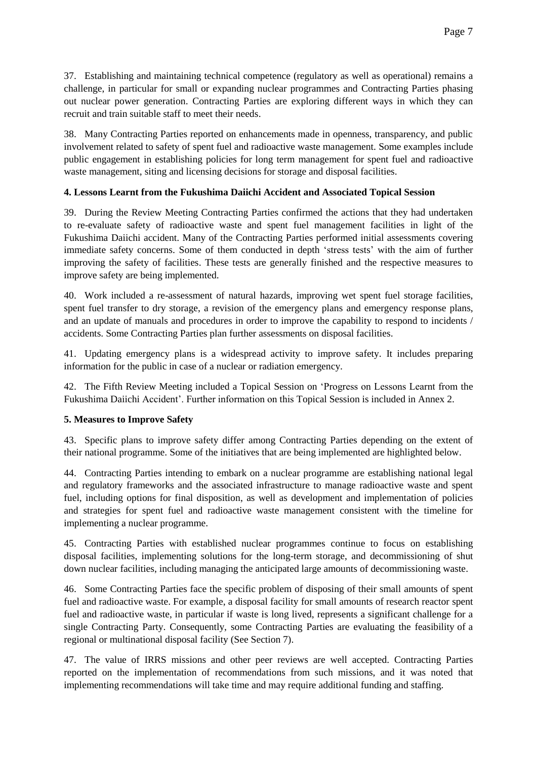37. Establishing and maintaining technical competence (regulatory as well as operational) remains a challenge, in particular for small or expanding nuclear programmes and Contracting Parties phasing out nuclear power generation. Contracting Parties are exploring different ways in which they can recruit and train suitable staff to meet their needs.

38. Many Contracting Parties reported on enhancements made in openness, transparency, and public involvement related to safety of spent fuel and radioactive waste management. Some examples include public engagement in establishing policies for long term management for spent fuel and radioactive waste management, siting and licensing decisions for storage and disposal facilities.

# **4. Lessons Learnt from the Fukushima Daiichi Accident and Associated Topical Session**

39. During the Review Meeting Contracting Parties confirmed the actions that they had undertaken to re-evaluate safety of radioactive waste and spent fuel management facilities in light of the Fukushima Daiichi accident. Many of the Contracting Parties performed initial assessments covering immediate safety concerns. Some of them conducted in depth 'stress tests' with the aim of further improving the safety of facilities. These tests are generally finished and the respective measures to improve safety are being implemented.

40. Work included a re-assessment of natural hazards, improving wet spent fuel storage facilities, spent fuel transfer to dry storage, a revision of the emergency plans and emergency response plans, and an update of manuals and procedures in order to improve the capability to respond to incidents / accidents. Some Contracting Parties plan further assessments on disposal facilities.

41. Updating emergency plans is a widespread activity to improve safety. It includes preparing information for the public in case of a nuclear or radiation emergency.

42. The Fifth Review Meeting included a Topical Session on 'Progress on Lessons Learnt from the Fukushima Daiichi Accident'. Further information on this Topical Session is included in Annex 2.

## **5. Measures to Improve Safety**

43. Specific plans to improve safety differ among Contracting Parties depending on the extent of their national programme. Some of the initiatives that are being implemented are highlighted below.

44. Contracting Parties intending to embark on a nuclear programme are establishing national legal and regulatory frameworks and the associated infrastructure to manage radioactive waste and spent fuel, including options for final disposition, as well as development and implementation of policies and strategies for spent fuel and radioactive waste management consistent with the timeline for implementing a nuclear programme.

45. Contracting Parties with established nuclear programmes continue to focus on establishing disposal facilities, implementing solutions for the long-term storage, and decommissioning of shut down nuclear facilities, including managing the anticipated large amounts of decommissioning waste.

46. Some Contracting Parties face the specific problem of disposing of their small amounts of spent fuel and radioactive waste. For example, a disposal facility for small amounts of research reactor spent fuel and radioactive waste, in particular if waste is long lived, represents a significant challenge for a single Contracting Party. Consequently, some Contracting Parties are evaluating the feasibility of a regional or multinational disposal facility (See Section 7).

47. The value of IRRS missions and other peer reviews are well accepted. Contracting Parties reported on the implementation of recommendations from such missions, and it was noted that implementing recommendations will take time and may require additional funding and staffing.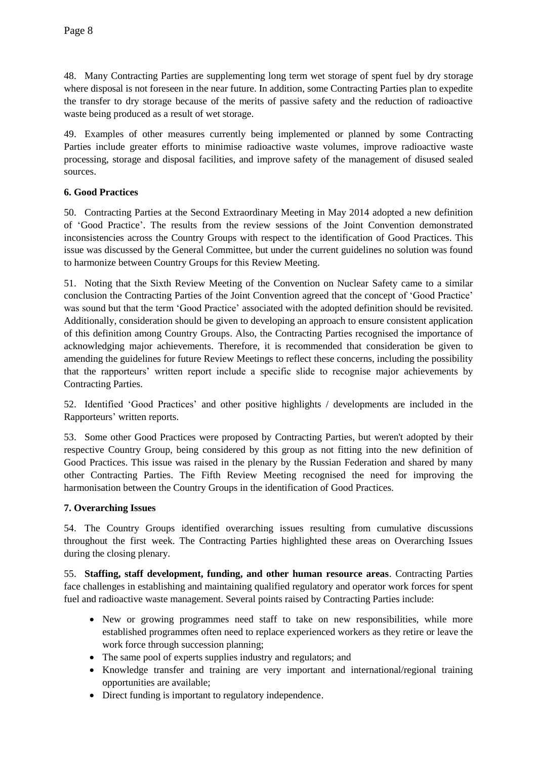48. Many Contracting Parties are supplementing long term wet storage of spent fuel by dry storage where disposal is not foreseen in the near future. In addition, some Contracting Parties plan to expedite the transfer to dry storage because of the merits of passive safety and the reduction of radioactive waste being produced as a result of wet storage.

49. Examples of other measures currently being implemented or planned by some Contracting Parties include greater efforts to minimise radioactive waste volumes, improve radioactive waste processing, storage and disposal facilities, and improve safety of the management of disused sealed sources.

# **6. Good Practices**

50. Contracting Parties at the Second Extraordinary Meeting in May 2014 adopted a new definition of 'Good Practice'. The results from the review sessions of the Joint Convention demonstrated inconsistencies across the Country Groups with respect to the identification of Good Practices. This issue was discussed by the General Committee, but under the current guidelines no solution was found to harmonize between Country Groups for this Review Meeting.

51. Noting that the Sixth Review Meeting of the Convention on Nuclear Safety came to a similar conclusion the Contracting Parties of the Joint Convention agreed that the concept of 'Good Practice' was sound but that the term 'Good Practice' associated with the adopted definition should be revisited. Additionally, consideration should be given to developing an approach to ensure consistent application of this definition among Country Groups. Also, the Contracting Parties recognised the importance of acknowledging major achievements. Therefore, it is recommended that consideration be given to amending the guidelines for future Review Meetings to reflect these concerns, including the possibility that the rapporteurs' written report include a specific slide to recognise major achievements by Contracting Parties.

52. Identified 'Good Practices' and other positive highlights / developments are included in the Rapporteurs' written reports.

53. Some other Good Practices were proposed by Contracting Parties, but weren't adopted by their respective Country Group, being considered by this group as not fitting into the new definition of Good Practices. This issue was raised in the plenary by the Russian Federation and shared by many other Contracting Parties. The Fifth Review Meeting recognised the need for improving the harmonisation between the Country Groups in the identification of Good Practices.

## **7. Overarching Issues**

54. The Country Groups identified overarching issues resulting from cumulative discussions throughout the first week. The Contracting Parties highlighted these areas on Overarching Issues during the closing plenary.

55. **Staffing, staff development, funding, and other human resource areas**. Contracting Parties face challenges in establishing and maintaining qualified regulatory and operator work forces for spent fuel and radioactive waste management. Several points raised by Contracting Parties include:

- New or growing programmes need staff to take on new responsibilities, while more established programmes often need to replace experienced workers as they retire or leave the work force through succession planning;
- The same pool of experts supplies industry and regulators; and
- Knowledge transfer and training are very important and international/regional training opportunities are available;
- Direct funding is important to regulatory independence.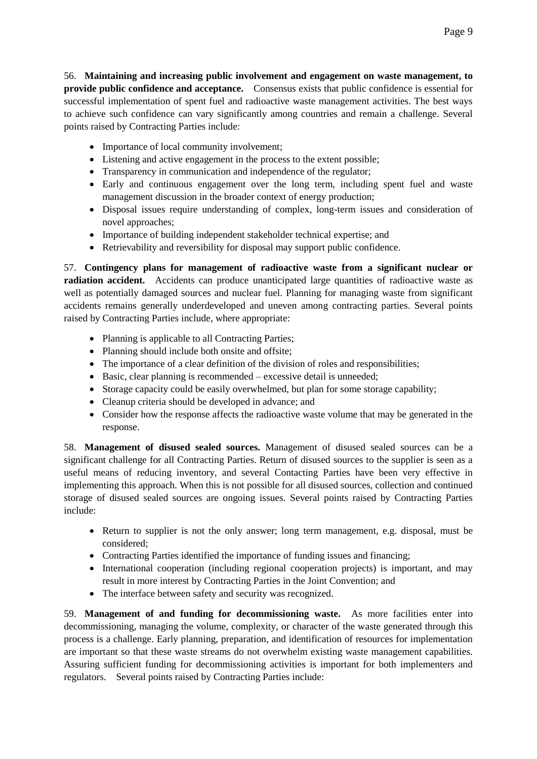56. **Maintaining and increasing public involvement and engagement on waste management, to provide public confidence and acceptance.** Consensus exists that public confidence is essential for successful implementation of spent fuel and radioactive waste management activities. The best ways to achieve such confidence can vary significantly among countries and remain a challenge. Several points raised by Contracting Parties include:

- Importance of local community involvement;
- Listening and active engagement in the process to the extent possible;
- Transparency in communication and independence of the regulator;
- Early and continuous engagement over the long term, including spent fuel and waste management discussion in the broader context of energy production;
- Disposal issues require understanding of complex, long-term issues and consideration of novel approaches;
- Importance of building independent stakeholder technical expertise; and
- Retrievability and reversibility for disposal may support public confidence.

57. **Contingency plans for management of radioactive waste from a significant nuclear or radiation accident.** Accidents can produce unanticipated large quantities of radioactive waste as well as potentially damaged sources and nuclear fuel. Planning for managing waste from significant accidents remains generally underdeveloped and uneven among contracting parties. Several points raised by Contracting Parties include, where appropriate:

- Planning is applicable to all Contracting Parties;
- Planning should include both onsite and offsite;
- The importance of a clear definition of the division of roles and responsibilities;
- Basic, clear planning is recommended excessive detail is unneeded;
- Storage capacity could be easily overwhelmed, but plan for some storage capability;
- Cleanup criteria should be developed in advance; and
- Consider how the response affects the radioactive waste volume that may be generated in the response.

58. **Management of disused sealed sources.** Management of disused sealed sources can be a significant challenge for all Contracting Parties. Return of disused sources to the supplier is seen as a useful means of reducing inventory, and several Contacting Parties have been very effective in implementing this approach. When this is not possible for all disused sources, collection and continued storage of disused sealed sources are ongoing issues. Several points raised by Contracting Parties include:

- Return to supplier is not the only answer; long term management, e.g. disposal, must be considered;
- Contracting Parties identified the importance of funding issues and financing;
- International cooperation (including regional cooperation projects) is important, and may result in more interest by Contracting Parties in the Joint Convention; and
- The interface between safety and security was recognized.

59. **Management of and funding for decommissioning waste.** As more facilities enter into decommissioning, managing the volume, complexity, or character of the waste generated through this process is a challenge. Early planning, preparation, and identification of resources for implementation are important so that these waste streams do not overwhelm existing waste management capabilities. Assuring sufficient funding for decommissioning activities is important for both implementers and regulators. Several points raised by Contracting Parties include: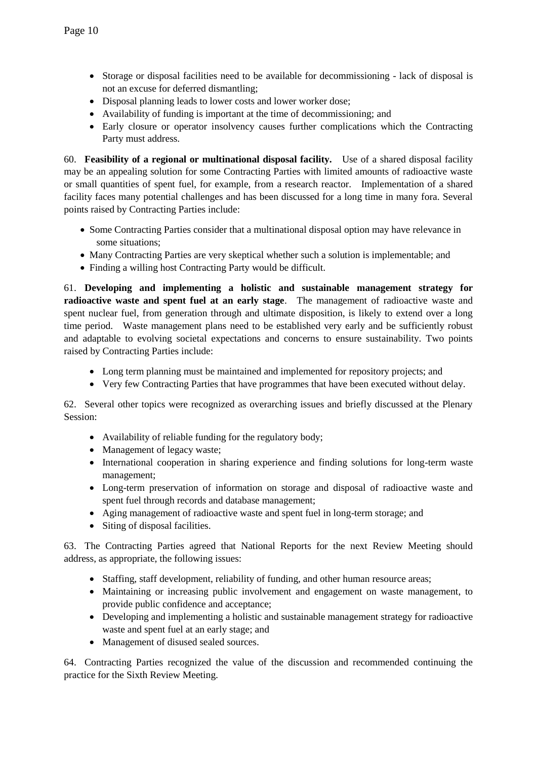- Storage or disposal facilities need to be available for decommissioning lack of disposal is not an excuse for deferred dismantling;
- Disposal planning leads to lower costs and lower worker dose;
- Availability of funding is important at the time of decommissioning; and
- Early closure or operator insolvency causes further complications which the Contracting Party must address.

60. **Feasibility of a regional or multinational disposal facility.** Use of a shared disposal facility may be an appealing solution for some Contracting Parties with limited amounts of radioactive waste or small quantities of spent fuel, for example, from a research reactor. Implementation of a shared facility faces many potential challenges and has been discussed for a long time in many fora. Several points raised by Contracting Parties include:

- Some Contracting Parties consider that a multinational disposal option may have relevance in some situations;
- Many Contracting Parties are very skeptical whether such a solution is implementable; and
- Finding a willing host Contracting Party would be difficult.

61. **Developing and implementing a holistic and sustainable management strategy for radioactive waste and spent fuel at an early stage**. The management of radioactive waste and spent nuclear fuel, from generation through and ultimate disposition, is likely to extend over a long time period. Waste management plans need to be established very early and be sufficiently robust and adaptable to evolving societal expectations and concerns to ensure sustainability. Two points raised by Contracting Parties include:

- Long term planning must be maintained and implemented for repository projects; and
- Very few Contracting Parties that have programmes that have been executed without delay.

62. Several other topics were recognized as overarching issues and briefly discussed at the Plenary Session:

- Availability of reliable funding for the regulatory body;
- Management of legacy waste;
- International cooperation in sharing experience and finding solutions for long-term waste management;
- Long-term preservation of information on storage and disposal of radioactive waste and spent fuel through records and database management;
- Aging management of radioactive waste and spent fuel in long-term storage; and
- Siting of disposal facilities.

63. The Contracting Parties agreed that National Reports for the next Review Meeting should address, as appropriate, the following issues:

- Staffing, staff development, reliability of funding, and other human resource areas;
- Maintaining or increasing public involvement and engagement on waste management, to provide public confidence and acceptance;
- Developing and implementing a holistic and sustainable management strategy for radioactive waste and spent fuel at an early stage; and
- Management of disused sealed sources.

64. Contracting Parties recognized the value of the discussion and recommended continuing the practice for the Sixth Review Meeting.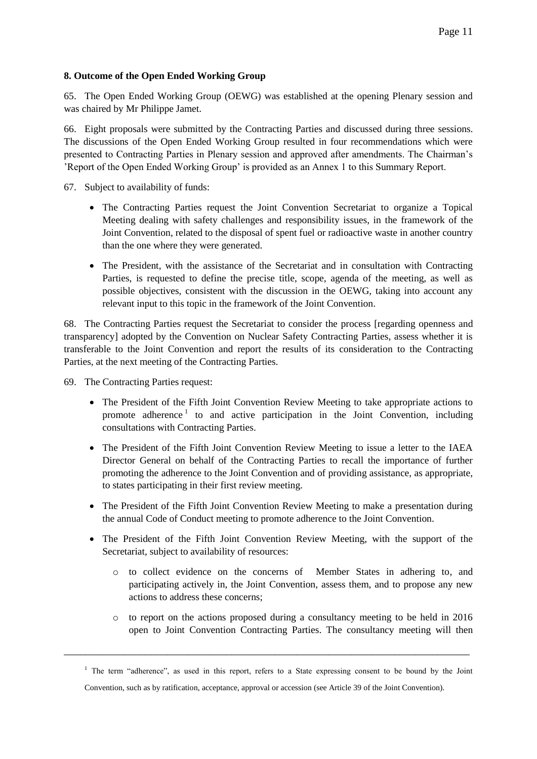## **8. Outcome of the Open Ended Working Group**

65. The Open Ended Working Group (OEWG) was established at the opening Plenary session and was chaired by Mr Philippe Jamet.

66. Eight proposals were submitted by the Contracting Parties and discussed during three sessions. The discussions of the Open Ended Working Group resulted in four recommendations which were presented to Contracting Parties in Plenary session and approved after amendments. The Chairman's 'Report of the Open Ended Working Group' is provided as an Annex 1 to this Summary Report.

67. Subject to availability of funds:

- The Contracting Parties request the Joint Convention Secretariat to organize a Topical Meeting dealing with safety challenges and responsibility issues, in the framework of the Joint Convention, related to the disposal of spent fuel or radioactive waste in another country than the one where they were generated.
- The President, with the assistance of the Secretariat and in consultation with Contracting Parties, is requested to define the precise title, scope, agenda of the meeting, as well as possible objectives, consistent with the discussion in the OEWG, taking into account any relevant input to this topic in the framework of the Joint Convention.

68. The Contracting Parties request the Secretariat to consider the process [regarding openness and transparency] adopted by the Convention on Nuclear Safety Contracting Parties, assess whether it is transferable to the Joint Convention and report the results of its consideration to the Contracting Parties, at the next meeting of the Contracting Parties.

69. The Contracting Parties request:

- The President of the Fifth Joint Convention Review Meeting to take appropriate actions to promote adherence<sup>1</sup> to and active participation in the Joint Convention, including consultations with Contracting Parties.
- The President of the Fifth Joint Convention Review Meeting to issue a letter to the IAEA Director General on behalf of the Contracting Parties to recall the importance of further promoting the adherence to the Joint Convention and of providing assistance, as appropriate, to states participating in their first review meeting.
- The President of the Fifth Joint Convention Review Meeting to make a presentation during the annual Code of Conduct meeting to promote adherence to the Joint Convention.
- The President of the Fifth Joint Convention Review Meeting, with the support of the Secretariat, subject to availability of resources:
	- o to collect evidence on the concerns of Member States in adhering to, and participating actively in, the Joint Convention, assess them, and to propose any new actions to address these concerns;
	- o to report on the actions proposed during a consultancy meeting to be held in 2016 open to Joint Convention Contracting Parties. The consultancy meeting will then

\_\_\_\_\_\_\_\_\_\_\_\_\_\_\_\_\_\_\_\_\_\_\_\_\_\_\_\_\_\_\_\_\_\_\_\_\_\_\_\_\_\_\_\_\_\_\_\_\_\_\_\_\_\_\_\_\_\_\_\_\_\_\_\_\_\_\_\_\_\_\_\_\_\_\_

<sup>&</sup>lt;sup>1</sup> The term "adherence", as used in this report, refers to a State expressing consent to be bound by the Joint Convention, such as by ratification, acceptance, approval or accession (see Article 39 of the Joint Convention).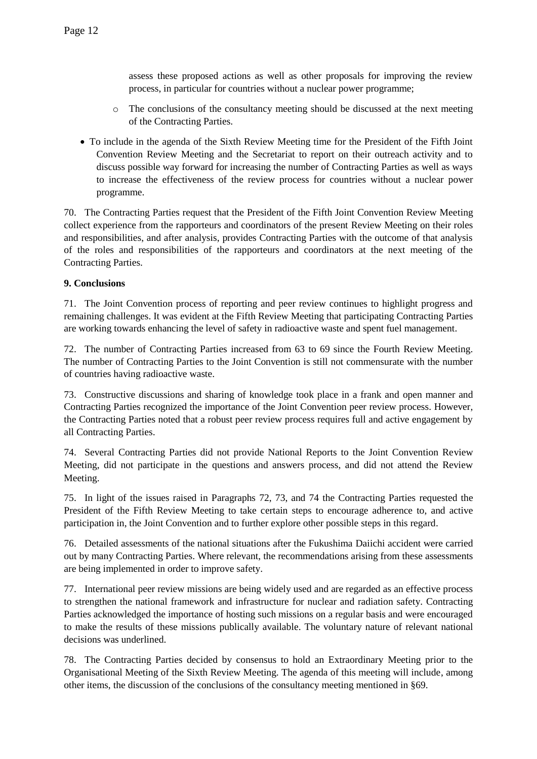assess these proposed actions as well as other proposals for improving the review process, in particular for countries without a nuclear power programme;

- o The conclusions of the consultancy meeting should be discussed at the next meeting of the Contracting Parties.
- To include in the agenda of the Sixth Review Meeting time for the President of the Fifth Joint Convention Review Meeting and the Secretariat to report on their outreach activity and to discuss possible way forward for increasing the number of Contracting Parties as well as ways to increase the effectiveness of the review process for countries without a nuclear power programme.

70. The Contracting Parties request that the President of the Fifth Joint Convention Review Meeting collect experience from the rapporteurs and coordinators of the present Review Meeting on their roles and responsibilities, and after analysis, provides Contracting Parties with the outcome of that analysis of the roles and responsibilities of the rapporteurs and coordinators at the next meeting of the Contracting Parties.

# **9. Conclusions**

71. The Joint Convention process of reporting and peer review continues to highlight progress and remaining challenges. It was evident at the Fifth Review Meeting that participating Contracting Parties are working towards enhancing the level of safety in radioactive waste and spent fuel management.

72. The number of Contracting Parties increased from 63 to 69 since the Fourth Review Meeting. The number of Contracting Parties to the Joint Convention is still not commensurate with the number of countries having radioactive waste.

73. Constructive discussions and sharing of knowledge took place in a frank and open manner and Contracting Parties recognized the importance of the Joint Convention peer review process. However, the Contracting Parties noted that a robust peer review process requires full and active engagement by all Contracting Parties.

74. Several Contracting Parties did not provide National Reports to the Joint Convention Review Meeting, did not participate in the questions and answers process, and did not attend the Review Meeting.

75. In light of the issues raised in Paragraphs 72, 73, and 74 the Contracting Parties requested the President of the Fifth Review Meeting to take certain steps to encourage adherence to, and active participation in, the Joint Convention and to further explore other possible steps in this regard.

76. Detailed assessments of the national situations after the Fukushima Daiichi accident were carried out by many Contracting Parties. Where relevant, the recommendations arising from these assessments are being implemented in order to improve safety.

77. International peer review missions are being widely used and are regarded as an effective process to strengthen the national framework and infrastructure for nuclear and radiation safety. Contracting Parties acknowledged the importance of hosting such missions on a regular basis and were encouraged to make the results of these missions publically available. The voluntary nature of relevant national decisions was underlined.

78. The Contracting Parties decided by consensus to hold an Extraordinary Meeting prior to the Organisational Meeting of the Sixth Review Meeting. The agenda of this meeting will include, among other items, the discussion of the conclusions of the consultancy meeting mentioned in §69.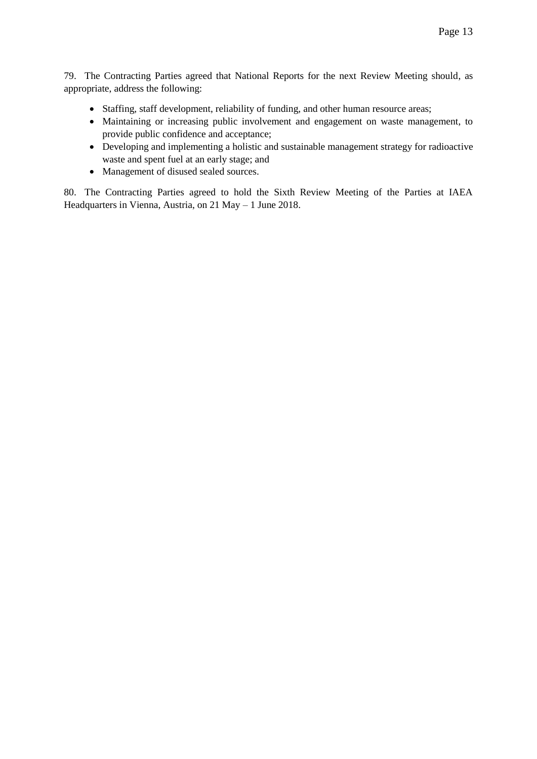79. The Contracting Parties agreed that National Reports for the next Review Meeting should, as appropriate, address the following:

- Staffing, staff development, reliability of funding, and other human resource areas;
- Maintaining or increasing public involvement and engagement on waste management, to provide public confidence and acceptance;
- Developing and implementing a holistic and sustainable management strategy for radioactive waste and spent fuel at an early stage; and
- Management of disused sealed sources.

80. The Contracting Parties agreed to hold the Sixth Review Meeting of the Parties at IAEA Headquarters in Vienna, Austria, on 21 May – 1 June 2018.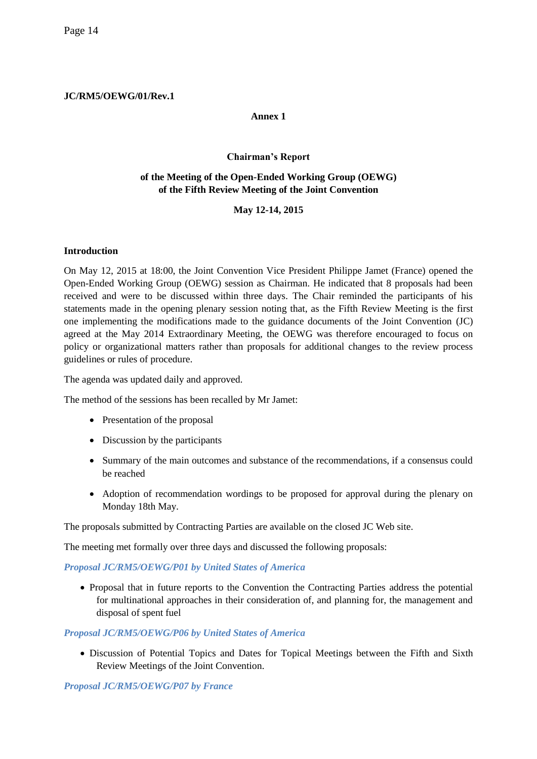## **JC/RM5/OEWG/01/Rev.1**

## **Annex 1**

## **Chairman's Report**

## **of the Meeting of the Open-Ended Working Group (OEWG) of the Fifth Review Meeting of the Joint Convention**

# **May 12-14, 2015**

### **Introduction**

On May 12, 2015 at 18:00, the Joint Convention Vice President Philippe Jamet (France) opened the Open-Ended Working Group (OEWG) session as Chairman. He indicated that 8 proposals had been received and were to be discussed within three days. The Chair reminded the participants of his statements made in the opening plenary session noting that, as the Fifth Review Meeting is the first one implementing the modifications made to the guidance documents of the Joint Convention (JC) agreed at the May 2014 Extraordinary Meeting, the OEWG was therefore encouraged to focus on policy or organizational matters rather than proposals for additional changes to the review process guidelines or rules of procedure.

The agenda was updated daily and approved.

The method of the sessions has been recalled by Mr Jamet:

- Presentation of the proposal
- Discussion by the participants
- Summary of the main outcomes and substance of the recommendations, if a consensus could be reached
- Adoption of recommendation wordings to be proposed for approval during the plenary on Monday 18th May.

The proposals submitted by Contracting Parties are available on the closed JC Web site.

The meeting met formally over three days and discussed the following proposals:

## *Proposal JC/RM5/OEWG/P01 by United States of America*

 Proposal that in future reports to the Convention the Contracting Parties address the potential for multinational approaches in their consideration of, and planning for, the management and disposal of spent fuel

#### *Proposal JC/RM5/OEWG/P06 by United States of America*

 Discussion of Potential Topics and Dates for Topical Meetings between the Fifth and Sixth Review Meetings of the Joint Convention.

## *Proposal JC/RM5/OEWG/P07 by France*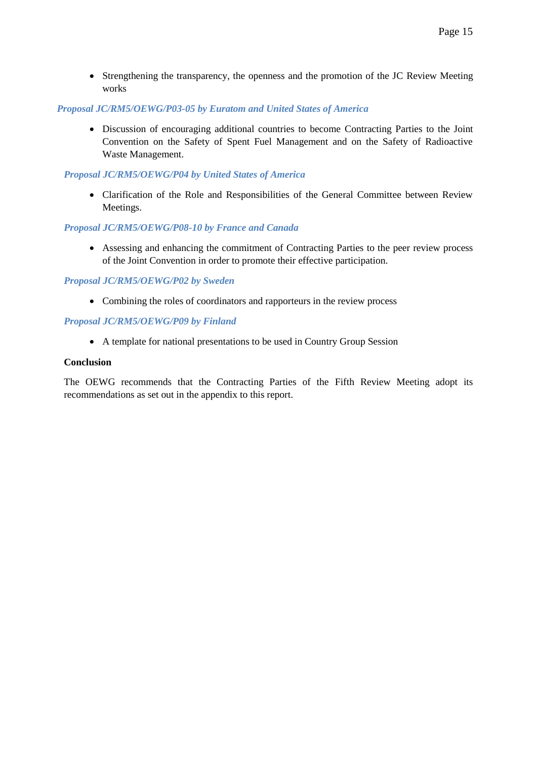Strengthening the transparency, the openness and the promotion of the JC Review Meeting works

#### *Proposal JC/RM5/OEWG/P03-05 by Euratom and United States of America*

 Discussion of encouraging additional countries to become Contracting Parties to the Joint Convention on the Safety of Spent Fuel Management and on the Safety of Radioactive Waste Management.

### *Proposal JC/RM5/OEWG/P04 by United States of America*

 Clarification of the Role and Responsibilities of the General Committee between Review Meetings.

### *Proposal JC/RM5/OEWG/P08-10 by France and Canada*

 Assessing and enhancing the commitment of Contracting Parties to the peer review process of the Joint Convention in order to promote their effective participation.

### *Proposal JC/RM5/OEWG/P02 by Sweden*

• Combining the roles of coordinators and rapporteurs in the review process

### *Proposal JC/RM5/OEWG/P09 by Finland*

A template for national presentations to be used in Country Group Session

#### **Conclusion**

The OEWG recommends that the Contracting Parties of the Fifth Review Meeting adopt its recommendations as set out in the appendix to this report.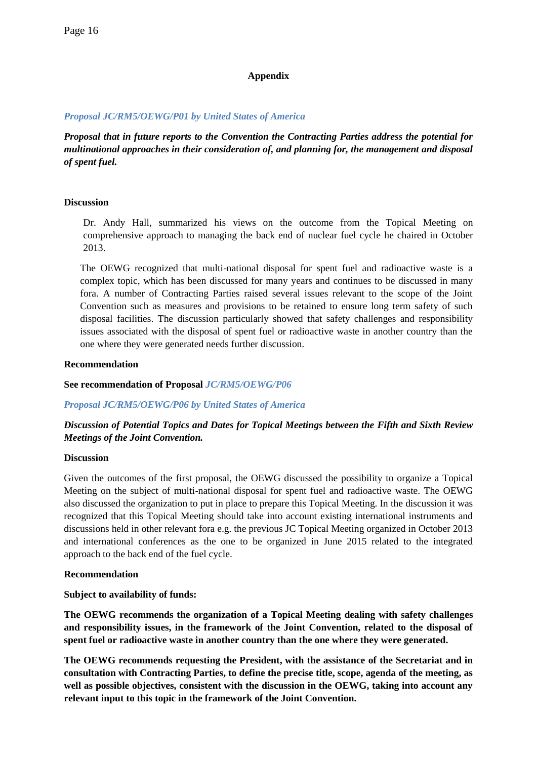## **Appendix**

### *Proposal JC/RM5/OEWG/P01 by United States of America*

*Proposal that in future reports to the Convention the Contracting Parties address the potential for multinational approaches in their consideration of, and planning for, the management and disposal of spent fuel.*

### **Discussion**

Dr. Andy Hall, summarized his views on the outcome from the Topical Meeting on comprehensive approach to managing the back end of nuclear fuel cycle he chaired in October 2013.

The OEWG recognized that multi-national disposal for spent fuel and radioactive waste is a complex topic, which has been discussed for many years and continues to be discussed in many fora. A number of Contracting Parties raised several issues relevant to the scope of the Joint Convention such as measures and provisions to be retained to ensure long term safety of such disposal facilities. The discussion particularly showed that safety challenges and responsibility issues associated with the disposal of spent fuel or radioactive waste in another country than the one where they were generated needs further discussion.

### **Recommendation**

**See recommendation of Proposal** *JC/RM5/OEWG/P06*

## *Proposal JC/RM5/OEWG/P06 by United States of America*

# *Discussion of Potential Topics and Dates for Topical Meetings between the Fifth and Sixth Review Meetings of the Joint Convention.*

#### **Discussion**

Given the outcomes of the first proposal, the OEWG discussed the possibility to organize a Topical Meeting on the subject of multi-national disposal for spent fuel and radioactive waste. The OEWG also discussed the organization to put in place to prepare this Topical Meeting. In the discussion it was recognized that this Topical Meeting should take into account existing international instruments and discussions held in other relevant fora e.g. the previous JC Topical Meeting organized in October 2013 and international conferences as the one to be organized in June 2015 related to the integrated approach to the back end of the fuel cycle.

#### **Recommendation**

#### **Subject to availability of funds:**

**The OEWG recommends the organization of a Topical Meeting dealing with safety challenges and responsibility issues, in the framework of the Joint Convention, related to the disposal of spent fuel or radioactive waste in another country than the one where they were generated.** 

**The OEWG recommends requesting the President, with the assistance of the Secretariat and in consultation with Contracting Parties, to define the precise title, scope, agenda of the meeting, as well as possible objectives, consistent with the discussion in the OEWG, taking into account any relevant input to this topic in the framework of the Joint Convention.**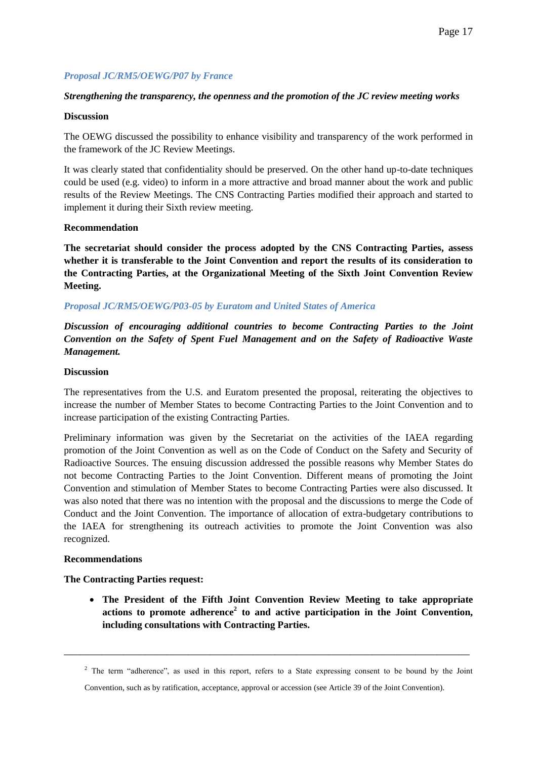## *Proposal JC/RM5/OEWG/P07 by France*

### *Strengthening the transparency, the openness and the promotion of the JC review meeting works*

#### **Discussion**

The OEWG discussed the possibility to enhance visibility and transparency of the work performed in the framework of the JC Review Meetings.

It was clearly stated that confidentiality should be preserved. On the other hand up-to-date techniques could be used (e.g. video) to inform in a more attractive and broad manner about the work and public results of the Review Meetings. The CNS Contracting Parties modified their approach and started to implement it during their Sixth review meeting.

### **Recommendation**

**The secretariat should consider the process adopted by the CNS Contracting Parties, assess whether it is transferable to the Joint Convention and report the results of its consideration to the Contracting Parties, at the Organizational Meeting of the Sixth Joint Convention Review Meeting.**

### *Proposal JC/RM5/OEWG/P03-05 by Euratom and United States of America*

*Discussion of encouraging additional countries to become Contracting Parties to the Joint Convention on the Safety of Spent Fuel Management and on the Safety of Radioactive Waste Management.*

#### **Discussion**

The representatives from the U.S. and Euratom presented the proposal, reiterating the objectives to increase the number of Member States to become Contracting Parties to the Joint Convention and to increase participation of the existing Contracting Parties.

Preliminary information was given by the Secretariat on the activities of the IAEA regarding promotion of the Joint Convention as well as on the Code of Conduct on the Safety and Security of Radioactive Sources. The ensuing discussion addressed the possible reasons why Member States do not become Contracting Parties to the Joint Convention. Different means of promoting the Joint Convention and stimulation of Member States to become Contracting Parties were also discussed. It was also noted that there was no intention with the proposal and the discussions to merge the Code of Conduct and the Joint Convention. The importance of allocation of extra-budgetary contributions to the IAEA for strengthening its outreach activities to promote the Joint Convention was also recognized.

#### **Recommendations**

## **The Contracting Parties request:**

 **The President of the Fifth Joint Convention Review Meeting to take appropriate actions to promote adherence<sup>2</sup> to and active participation in the Joint Convention, including consultations with Contracting Parties.**

\_\_\_\_\_\_\_\_\_\_\_\_\_\_\_\_\_\_\_\_\_\_\_\_\_\_\_\_\_\_\_\_\_\_\_\_\_\_\_\_\_\_\_\_\_\_\_\_\_\_\_\_\_\_\_\_\_\_\_\_\_\_\_\_\_\_\_\_\_\_\_\_\_\_\_

<sup>&</sup>lt;sup>2</sup> The term "adherence", as used in this report, refers to a State expressing consent to be bound by the Joint

Convention, such as by ratification, acceptance, approval or accession (see Article 39 of the Joint Convention).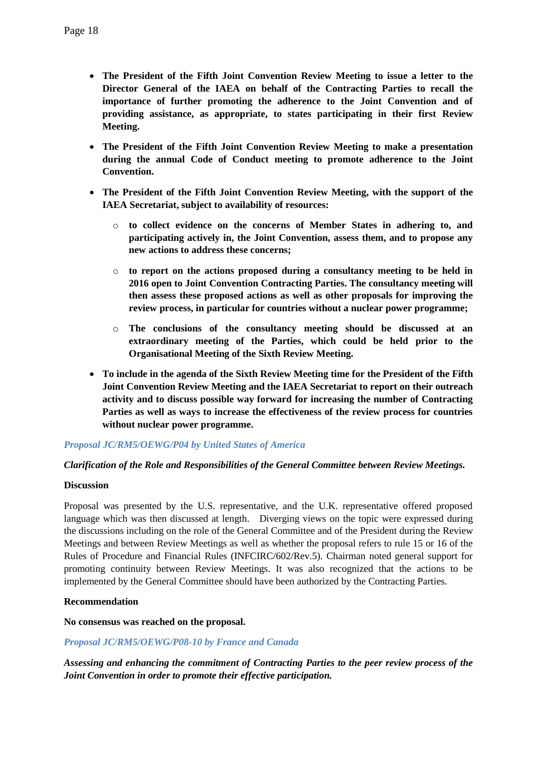- **The President of the Fifth Joint Convention Review Meeting to issue a letter to the Director General of the IAEA on behalf of the Contracting Parties to recall the importance of further promoting the adherence to the Joint Convention and of providing assistance, as appropriate, to states participating in their first Review Meeting.**
- **The President of the Fifth Joint Convention Review Meeting to make a presentation during the annual Code of Conduct meeting to promote adherence to the Joint Convention.**
- **The President of the Fifth Joint Convention Review Meeting, with the support of the IAEA Secretariat, subject to availability of resources:** 
	- o **to collect evidence on the concerns of Member States in adhering to, and participating actively in, the Joint Convention, assess them, and to propose any new actions to address these concerns;**
	- o **to report on the actions proposed during a consultancy meeting to be held in 2016 open to Joint Convention Contracting Parties. The consultancy meeting will then assess these proposed actions as well as other proposals for improving the review process, in particular for countries without a nuclear power programme;**
	- o **The conclusions of the consultancy meeting should be discussed at an extraordinary meeting of the Parties, which could be held prior to the Organisational Meeting of the Sixth Review Meeting.**
- **To include in the agenda of the Sixth Review Meeting time for the President of the Fifth Joint Convention Review Meeting and the IAEA Secretariat to report on their outreach activity and to discuss possible way forward for increasing the number of Contracting Parties as well as ways to increase the effectiveness of the review process for countries without nuclear power programme.**

## *Proposal JC/RM5/OEWG/P04 by United States of America*

#### *Clarification of the Role and Responsibilities of the General Committee between Review Meetings.*

#### **Discussion**

Proposal was presented by the U.S. representative, and the U.K. representative offered proposed language which was then discussed at length. Diverging views on the topic were expressed during the discussions including on the role of the General Committee and of the President during the Review Meetings and between Review Meetings as well as whether the proposal refers to rule 15 or 16 of the Rules of Procedure and Financial Rules (INFCIRC/602/Rev.5). Chairman noted general support for promoting continuity between Review Meetings. It was also recognized that the actions to be implemented by the General Committee should have been authorized by the Contracting Parties.

## **Recommendation**

#### **No consensus was reached on the proposal.**

## *Proposal JC/RM5/OEWG/P08-10 by France and Canada*

*Assessing and enhancing the commitment of Contracting Parties to the peer review process of the Joint Convention in order to promote their effective participation.*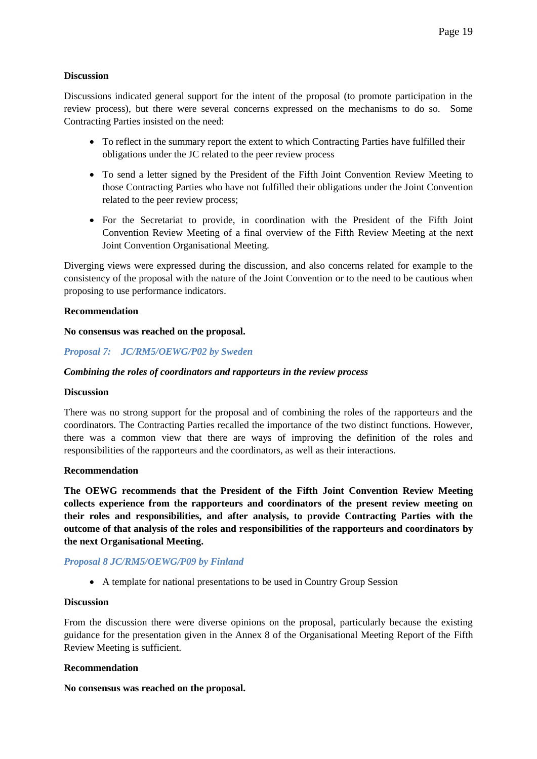### **Discussion**

Discussions indicated general support for the intent of the proposal (to promote participation in the review process), but there were several concerns expressed on the mechanisms to do so. Some Contracting Parties insisted on the need:

- To reflect in the summary report the extent to which Contracting Parties have fulfilled their obligations under the JC related to the peer review process
- To send a letter signed by the President of the Fifth Joint Convention Review Meeting to those Contracting Parties who have not fulfilled their obligations under the Joint Convention related to the peer review process;
- For the Secretariat to provide, in coordination with the President of the Fifth Joint Convention Review Meeting of a final overview of the Fifth Review Meeting at the next Joint Convention Organisational Meeting.

Diverging views were expressed during the discussion, and also concerns related for example to the consistency of the proposal with the nature of the Joint Convention or to the need to be cautious when proposing to use performance indicators.

#### **Recommendation**

#### **No consensus was reached on the proposal.**

#### *Proposal 7: JC/RM5/OEWG/P02 by Sweden*

#### *Combining the roles of coordinators and rapporteurs in the review process*

#### **Discussion**

There was no strong support for the proposal and of combining the roles of the rapporteurs and the coordinators. The Contracting Parties recalled the importance of the two distinct functions. However, there was a common view that there are ways of improving the definition of the roles and responsibilities of the rapporteurs and the coordinators, as well as their interactions.

#### **Recommendation**

**The OEWG recommends that the President of the Fifth Joint Convention Review Meeting collects experience from the rapporteurs and coordinators of the present review meeting on their roles and responsibilities, and after analysis, to provide Contracting Parties with the outcome of that analysis of the roles and responsibilities of the rapporteurs and coordinators by the next Organisational Meeting.**

#### *Proposal 8 JC/RM5/OEWG/P09 by Finland*

A template for national presentations to be used in Country Group Session

#### **Discussion**

From the discussion there were diverse opinions on the proposal, particularly because the existing guidance for the presentation given in the Annex 8 of the Organisational Meeting Report of the Fifth Review Meeting is sufficient.

#### **Recommendation**

**No consensus was reached on the proposal.**